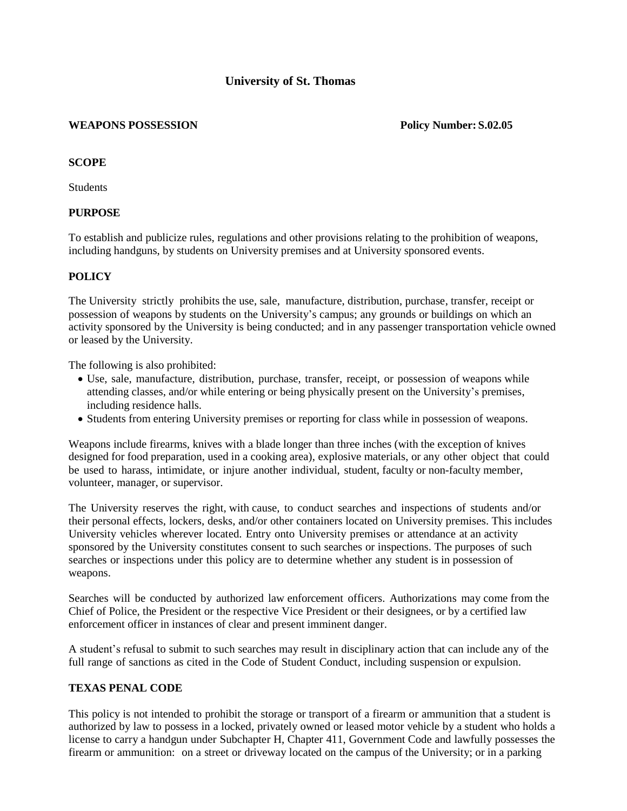# **University of St. Thomas**

#### **WEAPONS POSSESSION Policy Number: S.02.05**

#### **SCOPE**

**Students** 

# **PURPOSE**

To establish and publicize rules, regulations and other provisions relating to the prohibition of weapons, including handguns, by students on University premises and at University sponsored events.

# **POLICY**

The University strictly prohibits the use, sale, manufacture, distribution, purchase, transfer, receipt or possession of weapons by students on the University's campus; any grounds or buildings on which an activity sponsored by the University is being conducted; and in any passenger transportation vehicle owned or leased by the University.

The following is also prohibited:

- Use, sale, manufacture, distribution, purchase, transfer, receipt, or possession of weapons while attending classes, and/or while entering or being physically present on the University's premises, including residence halls.
- Students from entering University premises or reporting for class while in possession of weapons.

Weapons include firearms, knives with a blade longer than three inches (with the exception of knives designed for food preparation, used in a cooking area), explosive materials, or any other object that could be used to harass, intimidate, or injure another individual, student, faculty or non-faculty member, volunteer, manager, or supervisor.

The University reserves the right, with cause, to conduct searches and inspections of students and/or their personal effects, lockers, desks, and/or other containers located on University premises. This includes University vehicles wherever located. Entry onto University premises or attendance at an activity sponsored by the University constitutes consent to such searches or inspections. The purposes of such searches or inspections under this policy are to determine whether any student is in possession of weapons.

Searches will be conducted by authorized law enforcement officers. Authorizations may come from the Chief of Police, the President or the respective Vice President or their designees, or by a certified law enforcement officer in instances of clear and present imminent danger.

A student's refusal to submit to such searches may result in disciplinary action that can include any of the full range of sanctions as cited in the Code of Student Conduct, including suspension or expulsion.

# **TEXAS PENAL CODE**

This policy is not intended to prohibit the storage or transport of a firearm or ammunition that a student is authorized by law to possess in a locked, privately owned or leased motor vehicle by a student who holds a license to carry a handgun under Subchapter H, Chapter 411, Government Code and lawfully possesses the firearm or ammunition: on a street or driveway located on the campus of the University; or in a parking